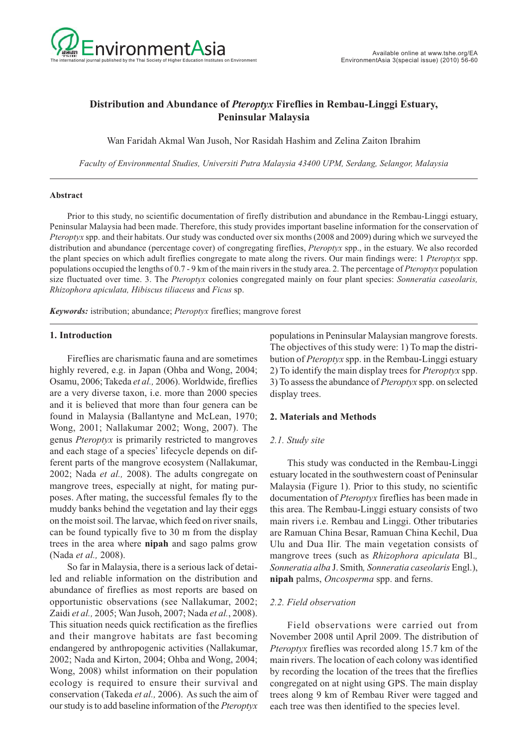

# **Distribution and Abundance of** *Pteroptyx* **Fireflies in Rembau-Linggi Estuary, Peninsular Malaysia**

Wan Faridah Akmal Wan Jusoh, Nor Rasidah Hashim and Zelina Zaiton Ibrahim

*Faculty of Environmental Studies, Universiti Putra Malaysia 43400 UPM, Serdang, Selangor, Malaysia*

#### **Abstract**

Prior to this study, no scientific documentation of firefly distribution and abundance in the Rembau-Linggi estuary, Peninsular Malaysia had been made. Therefore, this study provides important baseline information for the conservation of *Pteroptyx* spp. and their habitats. Our study was conducted over six months (2008 and 2009) during which we surveyed the distribution and abundance (percentage cover) of congregating fireflies, *Pteroptyx* spp., in the estuary. We also recorded the plant species on which adult fireflies congregate to mate along the rivers. Our main findings were: 1 *Pteroptyx* spp. populations occupied the lengths of 0.7 - 9 km of the main rivers in the study area. 2. The percentage of *Pteroptyx* population size fluctuated over time. 3. The *Pteroptyx* colonies congregated mainly on four plant species: *Sonneratia caseolaris, Rhizophora apiculata, Hibiscus tiliaceus* and *Ficus* sp.

*Keywords:* istribution; abundance; *Pteroptyx* fireflies; mangrove forest

# **1. Introduction**

Fireflies are charismatic fauna and are sometimes highly revered, e.g. in Japan (Ohba and Wong, 2004; Osamu, 2006; Takeda *et al.,* 2006). Worldwide, fireflies are a very diverse taxon, i.e. more than 2000 species and it is believed that more than four genera can be found in Malaysia (Ballantyne and McLean, 1970; Wong, 2001; Nallakumar 2002; Wong, 2007). The genus *Pteroptyx* is primarily restricted to mangroves and each stage of a species' lifecycle depends on different parts of the mangrove ecosystem (Nallakumar, 2002; Nada *et al.,* 2008). The adults congregate on mangrove trees, especially at night, for mating purposes. After mating, the successful females fly to the muddy banks behind the vegetation and lay their eggs on the moist soil. The larvae, which feed on river snails, can be found typically five to 30 m from the display trees in the area where **nipah** and sago palms grow (Nada *et al.,* 2008).

So far in Malaysia, there is a serious lack of detailed and reliable information on the distribution and abundance of fireflies as most reports are based on opportunistic observations (see Nallakumar, 2002; Zaidi *et al.,* 2005; Wan Jusoh, 2007; Nada *et al.*, 2008). This situation needs quick rectification as the fireflies and their mangrove habitats are fast becoming endangered by anthropogenic activities (Nallakumar, 2002; Nada and Kirton, 2004; Ohba and Wong, 2004; Wong, 2008) whilst information on their population ecology is required to ensure their survival and conservation (Takeda *et al.,* 2006). As such the aim of our study is to add baseline information of the *Pteroptyx*

populations in Peninsular Malaysian mangrove forests. The objectives of this study were: 1) To map the distribution of *Pteroptyx* spp. in the Rembau-Linggi estuary 2) To identify the main display trees for *Pteroptyx* spp. 3) To assess the abundance of *Pteroptyx* spp. on selected display trees.

# **2. Materials and Methods**

# *2.1. Study site*

This study was conducted in the Rembau-Linggi estuary located in the southwestern coast of Peninsular Malaysia (Figure 1). Prior to this study, no scientific documentation of *Pteroptyx* fireflies has been made in this area. The Rembau-Linggi estuary consists of two main rivers i.e. Rembau and Linggi. Other tributaries are Ramuan China Besar, Ramuan China Kechil, Dua Ulu and Dua Ilir. The main vegetation consists of mangrove trees (such as *Rhizophora apiculata* Bl.*, Sonneratia alba* J. Smith*, Sonneratia caseolaris* Engl.), **nipah** palms, *Oncosperma* spp. and ferns.

# *2.2. Field observation*

Field observations were carried out from November 2008 until April 2009. The distribution of *Pteroptyx* fireflies was recorded along 15.7 km of the main rivers. The location of each colony was identified by recording the location of the trees that the fireflies congregated on at night using GPS. The main display trees along 9 km of Rembau River were tagged and each tree was then identified to the species level.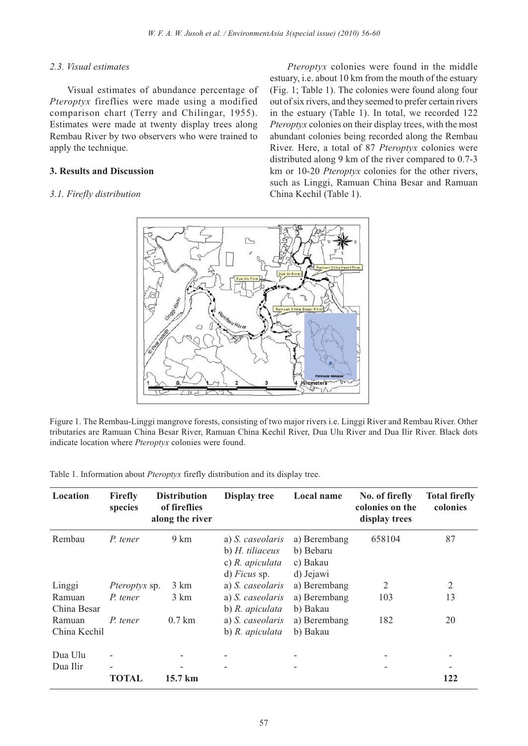# *2.3. Visual estimates*

Visual estimates of abundance percentage of *Pteroptyx* fireflies were made using a modified comparison chart (Terry and Chilingar, 1955). Estimates were made at twenty display trees along Rembau River by two observers who were trained to apply the technique.

# **3. Results and Discussion**

# *3.1. Firefly distribution*

*Pteroptyx* colonies were found in the middle estuary, i.e. about 10 km from the mouth of the estuary (Fig. 1; Table 1). The colonies were found along four out of six rivers, and they seemed to prefer certain rivers in the estuary (Table 1). In total, we recorded 122 *Pteroptyx* colonies on their display trees, with the most abundant colonies being recorded along the Rembau River. Here, a total of 87 *Pteroptyx* colonies were distributed along 9 km of the river compared to 0.7-3 km or 10-20 *Pteroptyx* colonies for the other rivers, such as Linggi, Ramuan China Besar and Ramuan China Kechil (Table 1).



Figure 1. The Rembau-Linggi mangrove forests, consisting of two major rivers i.e. Linggi River and Rembau River. Other tributaries are Ramuan China Besar River, Ramuan China Kechil River, Dua Ulu River and Dua Ilir River. Black dots indicate location where *Pteroptyx* colonies were found.

Table 1. Information about *Pteroptyx* firefly distribution and its display tree.

| Location               | <b>Firefly</b><br>species | <b>Distribution</b><br>of fireflies<br>along the river | <b>Display tree</b>                                                                 | Local name                                         | No. of firefly<br>colonies on the<br>display trees | <b>Total firefly</b><br>colonies |
|------------------------|---------------------------|--------------------------------------------------------|-------------------------------------------------------------------------------------|----------------------------------------------------|----------------------------------------------------|----------------------------------|
| Rembau                 | P. tener                  | 9 km                                                   | a) S. caseolaris<br>b) $H.$ tiliaceus<br>c) $R.$ apiculata<br>$d)$ <i>Ficus sp.</i> | a) Berembang<br>b) Bebaru<br>c) Bakau<br>d) Jejawi | 658104                                             | 87                               |
| Linggi                 | <i>Pteroptyx</i> sp.      | 3 km                                                   | a) S. caseolaris                                                                    | a) Berembang                                       | 2                                                  | 2                                |
| Ramuan<br>China Besar  | P. tener                  | $3 \text{ km}$                                         | a) S. caseolaris<br>b) $R.$ apiculata                                               | a) Berembang<br>b) Bakau                           | 103                                                | 13                               |
| Ramuan<br>China Kechil | P tener                   | $0.7$ km                                               | a) S. caseolaris<br>b) R. apiculata                                                 | a) Berembang<br>b) Bakau                           | 182                                                | 20                               |
| Dua Ulu                |                           |                                                        |                                                                                     |                                                    |                                                    |                                  |
| Dua Ilir               | TOTAL                     | $15.7 \text{ km}$                                      |                                                                                     |                                                    |                                                    | 122                              |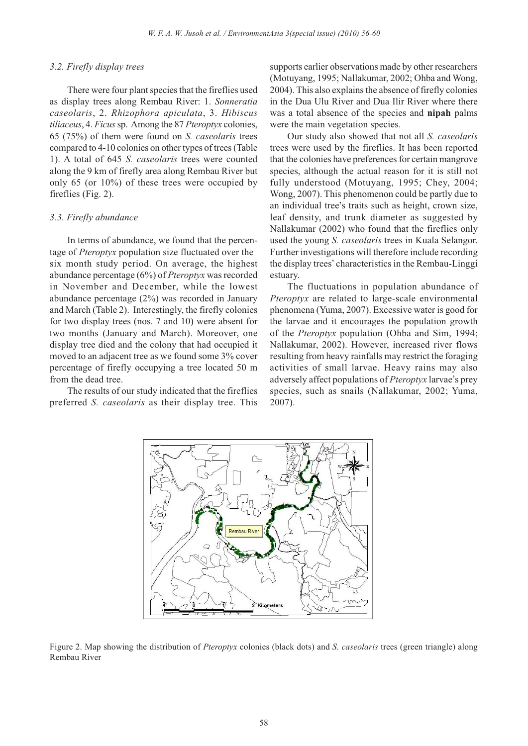#### *3.2. Firefly display trees*

There were four plant species that the fireflies used as display trees along Rembau River: 1. *Sonneratia caseolaris*, 2. *Rhizophora apiculata*, 3. *Hibiscus tiliaceus*, 4. *Ficus* sp. Among the 87 *Pteroptyx* colonies, 65 (75%) of them were found on *S. caseolaris* trees compared to 4-10 colonies on other types of trees (Table 1). A total of 645 *S. caseolaris* trees were counted along the 9 km of firefly area along Rembau River but only 65 (or 10%) of these trees were occupied by fireflies (Fig. 2).

### *3.3. Firefly abundance*

In terms of abundance, we found that the percentage of *Pteroptyx* population size fluctuated over the six month study period. On average, the highest abundance percentage (6%) of *Pteroptyx* was recorded in November and December, while the lowest abundance percentage (2%) was recorded in January and March (Table 2). Interestingly, the firefly colonies for two display trees (nos. 7 and 10) were absent for two months (January and March). Moreover, one display tree died and the colony that had occupied it moved to an adjacent tree as we found some 3% cover percentage of firefly occupying a tree located 50 m from the dead tree.

The results of our study indicated that the fireflies preferred *S. caseolaris* as their display tree. This

supports earlier observations made by other researchers (Motuyang, 1995; Nallakumar, 2002; Ohba and Wong, 2004). This also explains the absence of firefly colonies in the Dua Ulu River and Dua Ilir River where there was a total absence of the species and **nipah** palms were the main vegetation species.

Our study also showed that not all *S. caseolaris* trees were used by the fireflies. It has been reported that the colonies have preferences for certain mangrove species, although the actual reason for it is still not fully understood (Motuyang, 1995; Chey, 2004; Wong, 2007). This phenomenon could be partly due to wong, 2007). This prenomenon code of party due to<br>an individual tree's traits such as height, crown size, leaf density, and trunk diameter as suggested by Nallakumar (2002) who found that the fireflies only used the young *S. caseolaris* trees in Kuala Selangor. Further investigations will therefore include recording the display trees' characteristics in the Rembau-Linggi estuary.

The fluctuations in population abundance of *Pteroptyx* are related to large-scale environmental phenomena (Yuma, 2007). Excessive water is good for the larvae and it encourages the population growth of the *Pteroptyx* population (Ohba and Sim, 1994; Nallakumar, 2002). However, increased river flows resulting from heavy rainfalls may restrict the foraging activities of small larvae. Heavy rains may also adversely affect populations of *Pteroptyx* larvae's prey species, such as snails (Nallakumar, 2002; Yuma, 2007).



Figure 2. Map showing the distribution of *Pteroptyx* colonies (black dots) and *S. caseolaris* trees (green triangle) along Rembau River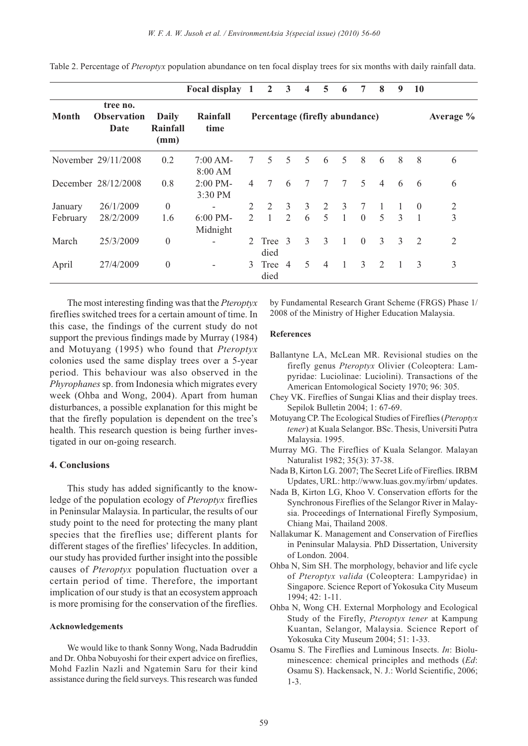|              |                                        |                           | Focal display 1      |                                | $\overline{2}$           | 3                        | $\overline{\mathbf{4}}$ | 5              | 6            | 7              | 8                        | 9             | 10             |                |
|--------------|----------------------------------------|---------------------------|----------------------|--------------------------------|--------------------------|--------------------------|-------------------------|----------------|--------------|----------------|--------------------------|---------------|----------------|----------------|
| <b>Month</b> | tree no.<br><b>Observation</b><br>Date | Daily<br>Rainfall<br>(mm) | Rainfall<br>time     | Percentage (firefly abundance) |                          |                          |                         |                |              |                |                          |               | Average $\%$   |                |
|              | November 29/11/2008                    | 0.2                       | 7:00 AM-<br>8:00 AM  | 7                              | $\overline{\mathcal{L}}$ | $\overline{\mathcal{L}}$ | .5                      | 6              | 5            | 8              | 6                        | 8             | -8             | 6              |
|              | December 28/12/2008                    | 0.8                       | 2:00 PM-<br>3:30 PM  | 4                              | 7                        | 6                        | $7\phantom{.0}$         | 7              | $\tau$       | 5              | $\overline{4}$           | 6             | 6              | 6              |
| January      | 26/1/2009                              | $\boldsymbol{0}$          |                      | $\mathcal{D}_{\mathcal{L}}$    | $\overline{2}$           | 3                        | 3                       | 2              | 3            | $\overline{7}$ |                          |               | $\theta$       | $\mathbf{2}$   |
| February     | 28/2/2009                              | 1.6                       | 6:00 PM-<br>Midnight | $\mathcal{D}_{\mathcal{L}}$    | $\mathbf{1}$             | $\mathcal{L}$            | 6                       | 5              | $\mathbf{1}$ | $\theta$       | $\overline{\mathcal{L}}$ | $\mathcal{E}$ | 1              | 3              |
| March        | 25/3/2009                              | $\boldsymbol{0}$          | ۰                    | 2                              | Tree<br>died             | $\mathcal{R}$            | 3                       | 3              |              | $\mathbf{0}$   | 3                        | 3             | $\overline{2}$ | $\overline{2}$ |
| April        | 27/4/2009                              | $\boldsymbol{0}$          |                      | 3                              | Tree<br>died             | $\overline{4}$           | 5                       | $\overline{4}$ |              | 3              | $\overline{2}$           |               | 3              | 3              |

Table 2. Percentage of *Pteroptyx* population abundance on ten focal display trees for six months with daily rainfall data.

The most interesting finding was that the *Pteroptyx* fireflies switched trees for a certain amount of time. In this case, the findings of the current study do not support the previous findings made by Murray (1984) and Motuyang (1995) who found that *Pteroptyx* colonies used the same display trees over a 5-year period. This behaviour was also observed in the *Phyrophanes* sp. from Indonesia which migrates every week (Ohba and Wong, 2004). Apart from human disturbances, a possible explanation for this might be that the firefly population is dependent on the tree's health. This research question is being further investigated in our on-going research.

#### **4. Conclusions**

This study has added significantly to the knowledge of the population ecology of *Pteroptyx* fireflies in Peninsular Malaysia. In particular, the results of our study point to the need for protecting the many plant species that the fireflies use; different plants for different stages of the fireflies' lifecycles. In addition, our study has provided further insight into the possible causes of *Pteroptyx* population fluctuation over a certain period of time. Therefore, the important implication of our study is that an ecosystem approach is more promising for the conservation of the fireflies.

# **Acknowledgements**

We would like to thank Sonny Wong, Nada Badruddin and Dr. Ohba Nobuyoshi for their expert advice on fireflies, Mohd Fazlin Nazli and Ngatemin Saru for their kind assistance during the field surveys. This research was funded by Fundamental Research Grant Scheme (FRGS) Phase 1/ 2008 of the Ministry of Higher Education Malaysia.

### **References**

- Ballantyne LA, McLean MR. Revisional studies on the firefly genus *Pteroptyx* Olivier (Coleoptera: Lampyridae: Luciolinae: Luciolini). Transactions of the American Entomological Society 1970; 96: 305.
- Chey VK. Fireflies of Sungai Klias and their display trees. Sepilok Bulletin 2004; 1: 67-69.
- Motuyang CP. The Ecological Studies of Fireflies (*Pteroptyx tener*) at Kuala Selangor. BSc. Thesis, Universiti Putra Malaysia. 1995.
- Murray MG. The Fireflies of Kuala Selangor. Malayan Naturalist 1982; 35(3): 37-38.
- Nada B, Kirton LG. 2007; The Secret Life of Fireflies. IRBM Updates, URL: http://www.luas.gov.my/irbm/ updates.
- Nada B, Kirton LG, Khoo V. Conservation efforts for the Synchronous Fireflies of the Selangor River in Malaysia. Proceedings of International Firefly Symposium, Chiang Mai, Thailand 2008.
- Nallakumar K. Management and Conservation of Fireflies in Peninsular Malaysia. PhD Dissertation, University of London. 2004.
- Ohba N, Sim SH. The morphology, behavior and life cycle of *Pteroptyx valida* (Coleoptera: Lampyridae) in Singapore. Science Report of Yokosuka City Museum 1994; 42: 1-11.
- Ohba N, Wong CH. External Morphology and Ecological Study of the Firefly, *Pteroptyx tener* at Kampung Kuantan, Selangor, Malaysia. Science Report of Yokosuka City Museum 2004; 51: 1-33.
- Osamu S. The Fireflies and Luminous Insects. *In*: Bioluminescence: chemical principles and methods (*Ed*: Osamu S). Hackensack, N. J.: World Scientific, 2006; 1-3.